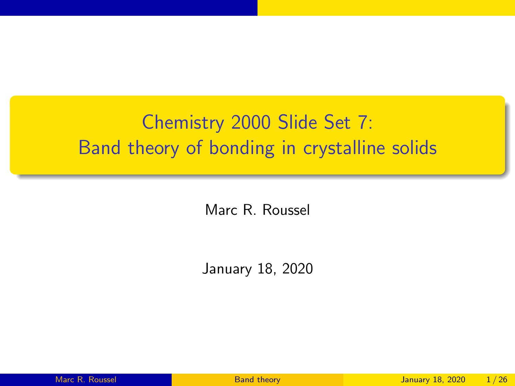# <span id="page-0-0"></span>Chemistry 2000 Slide Set 7: Band theory of bonding in crystalline solids

Marc R. Roussel

January 18, 2020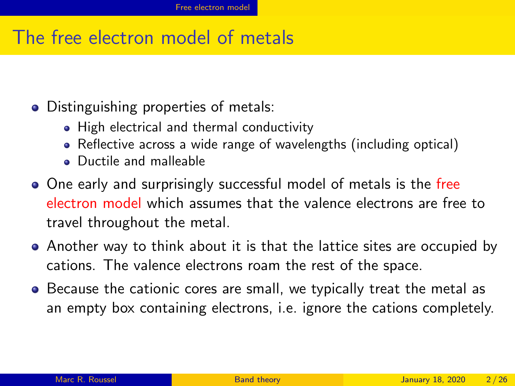#### <span id="page-1-0"></span>The free electron model of metals

- Distinguishing properties of metals:
	- High electrical and thermal conductivity
	- Reflective across a wide range of wavelengths (including optical)
	- **•** Ductile and malleable
- One early and surprisingly successful model of metals is the free electron model which assumes that the valence electrons are free to travel throughout the metal.
- Another way to think about it is that the lattice sites are occupied by cations. The valence electrons roam the rest of the space.
- Because the cationic cores are small, we typically treat the metal as an empty box containing electrons, i.e. ignore the cations completely.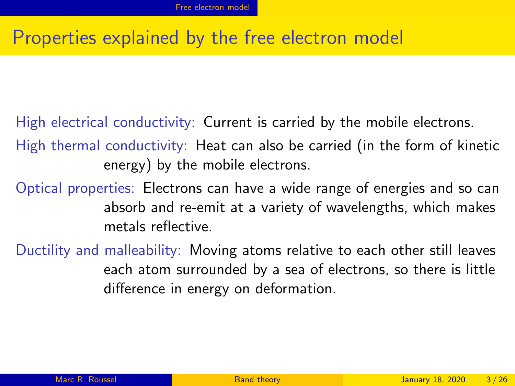#### Properties explained by the free electron model

High electrical conductivity: Current is carried by the mobile electrons.

High thermal conductivity: Heat can also be carried (in the form of kinetic energy) by the mobile electrons.

Optical properties: Electrons can have a wide range of energies and so can absorb and re-emit at a variety of wavelengths, which makes metals reflective.

Ductility and malleability: Moving atoms relative to each other still leaves each atom surrounded by a sea of electrons, so there is little difference in energy on deformation.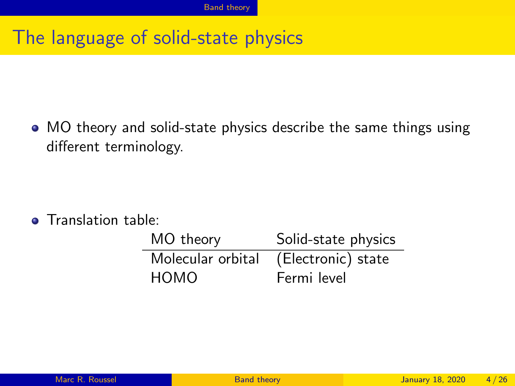## <span id="page-3-0"></span>The language of solid-state physics

MO theory and solid-state physics describe the same things using different terminology.

**o** Translation table:

| MO theory         | Solid-state physics |
|-------------------|---------------------|
| Molecular orbital | (Electronic) state  |
| HOMO              | Fermi level         |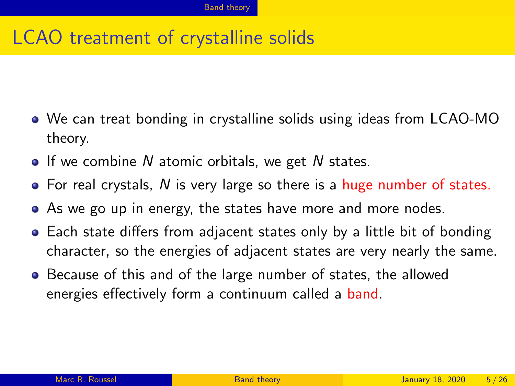# LCAO treatment of crystalline solids

- We can treat bonding in crystalline solids using ideas from LCAO-MO theory.
- $\bullet$  If we combine N atomic orbitals, we get N states.
- $\bullet$  For real crystals, N is very large so there is a huge number of states.
- As we go up in energy, the states have more and more nodes.
- Each state differs from adjacent states only by a little bit of bonding character, so the energies of adjacent states are very nearly the same.
- Because of this and of the large number of states, the allowed energies effectively form a continuum called a band.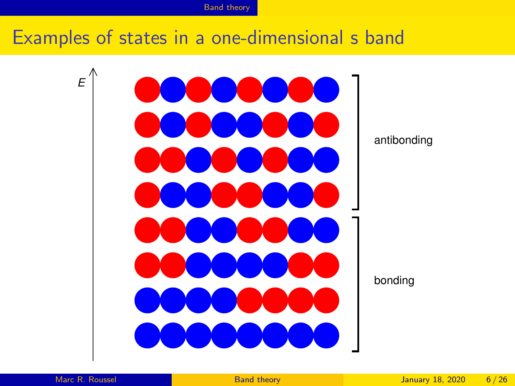#### Examples of states in a one-dimensional s band

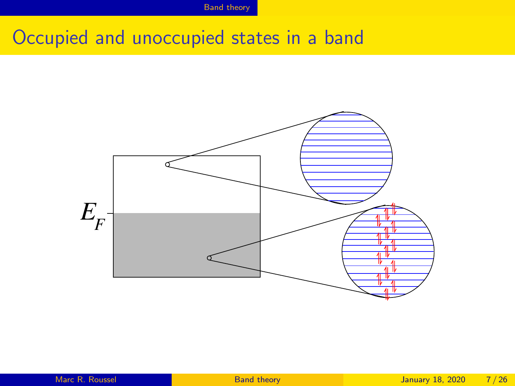#### Occupied and unoccupied states in a band

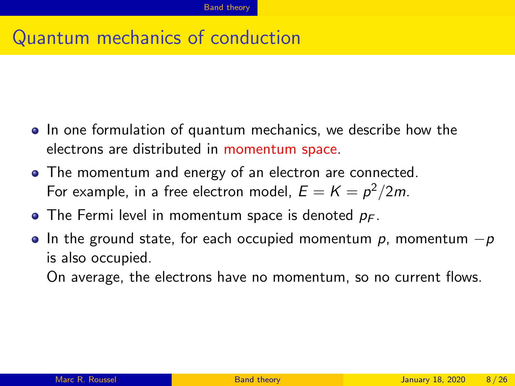#### Quantum mechanics of conduction

- In one formulation of quantum mechanics, we describe how the electrons are distributed in momentum space.
- The momentum and energy of an electron are connected. For example, in a free electron model,  $E=K=p^2/2m$ .
- The Fermi level in momentum space is denoted  $p_F$ .
- In the ground state, for each occupied momentum  $p$ , momentum  $-p$ is also occupied.

On average, the electrons have no momentum, so no current flows.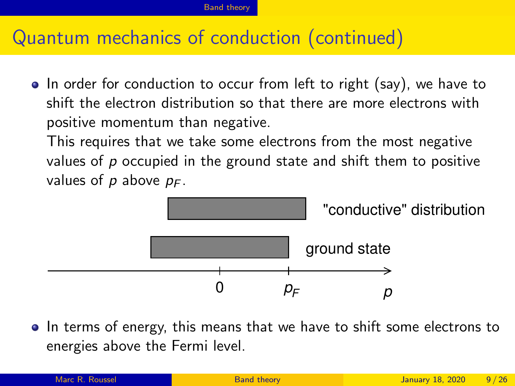#### Quantum mechanics of conduction (continued)

• In order for conduction to occur from left to right (say), we have to shift the electron distribution so that there are more electrons with positive momentum than negative.

This requires that we take some electrons from the most negative values of  $p$  occupied in the ground state and shift them to positive values of p above  $p_F$ .



• In terms of energy, this means that we have to shift some electrons to energies above the Fermi level.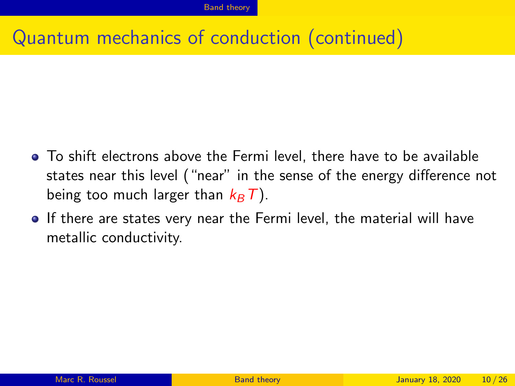#### Quantum mechanics of conduction (continued)

- To shift electrons above the Fermi level, there have to be available states near this level ("near" in the sense of the energy difference not being too much larger than  $k_B T$ ).
- If there are states very near the Fermi level, the material will have metallic conductivity.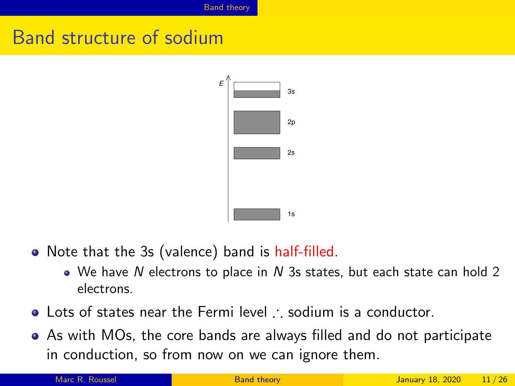### Band structure of sodium



- Note that the 3s (valence) band is half-filled.
	- $\bullet$  We have N electrons to place in N 3s states, but each state can hold 2 electrons.
- Lots of states near the Fermi level ∴ sodium is a conductor.
- As with MOs, the core bands are always filled and do not participate in conduction, so from now on we can ignore them.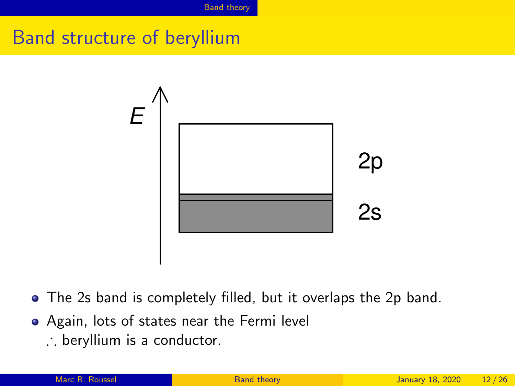# Band structure of beryllium



- The 2s band is completely filled, but it overlaps the 2p band.
- Again, lots of states near the Fermi level
	- ∴ beryllium is a conductor.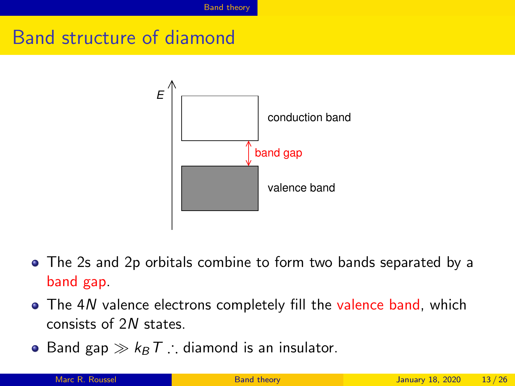### Band structure of diamond



- The 2s and 2p orbitals combine to form two bands separated by a band gap.
- The 4N valence electrons completely fill the valence band, which consists of 2N states.
- Band gap  $\gg k_B T$  ∴ diamond is an insulator.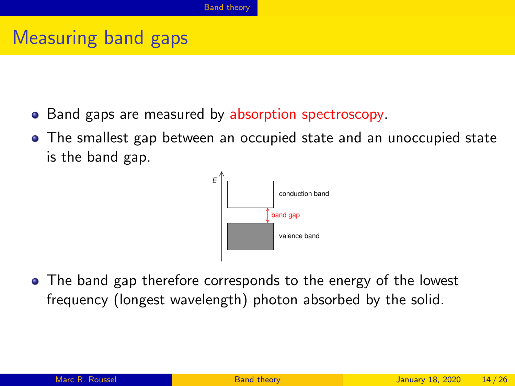### Measuring band gaps

- Band gaps are measured by absorption spectroscopy.
- The smallest gap between an occupied state and an unoccupied state is the band gap.



• The band gap therefore corresponds to the energy of the lowest frequency (longest wavelength) photon absorbed by the solid.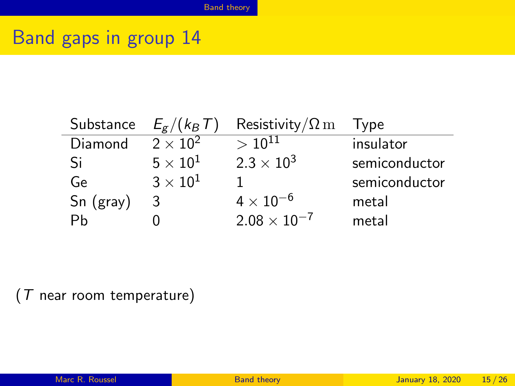### Band gaps in group 14

L,

| Substance | $E_g/(k_B T)$          | Resistivity/ $\Omega$ m | <b>l</b> vpe  |
|-----------|------------------------|-------------------------|---------------|
| Diamond   | $\sqrt{2 \times 10^2}$ | $> 10^{11}$             | insulator     |
| -Si       | $5\times10^{1}$        | $2.3 \times 10^{3}$     | semiconductor |
| Ge        | $3\times10^{1}$        |                         | semiconductor |
| Sn (gray) | 3                      | $4 \times 10^{-6}$      | metal         |
| Ph        |                        | $2.08 \times 10^{-7}$   | metal         |

(T near room temperature)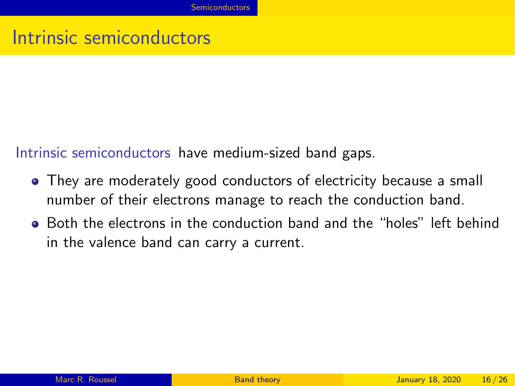<span id="page-15-0"></span>Intrinsic semiconductors have medium-sized band gaps.

- They are moderately good conductors of electricity because a small number of their electrons manage to reach the conduction band.
- Both the electrons in the conduction band and the "holes" left behind in the valence band can carry a current.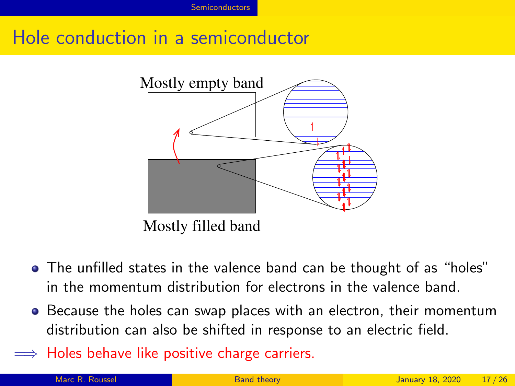## Hole conduction in a semiconductor



Mostly filled band

- The unfilled states in the valence band can be thought of as "holes" in the momentum distribution for electrons in the valence band.
- Because the holes can swap places with an electron, their momentum distribution can also be shifted in response to an electric field.
- $\implies$  Holes behave like positive charge carriers.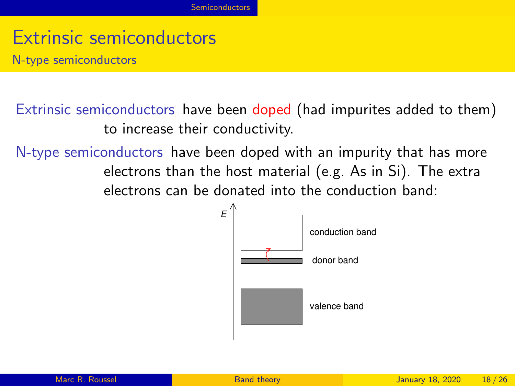N-type semiconductors

Extrinsic semiconductors have been doped (had impurites added to them) to increase their conductivity.

N-type semiconductors have been doped with an impurity that has more electrons than the host material (e.g. As in Si). The extra electrons can be donated into the conduction band:

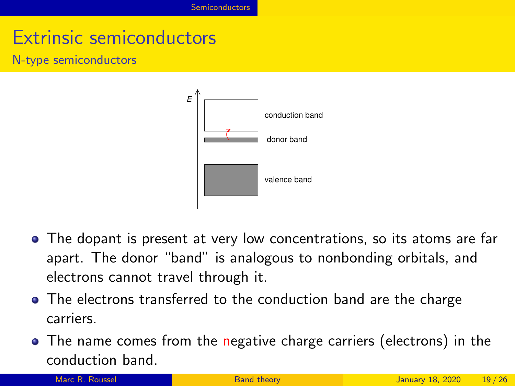N-type semiconductors



- The dopant is present at very low concentrations, so its atoms are far apart. The donor "band" is analogous to nonbonding orbitals, and electrons cannot travel through it.
- The electrons transferred to the conduction band are the charge carriers.
- The name comes from the negative charge carriers (electrons) in the conduction band.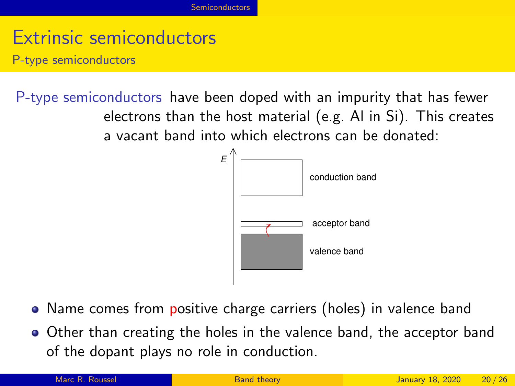P-type semiconductors

P-type semiconductors have been doped with an impurity that has fewer electrons than the host material (e.g. Al in Si). This creates a vacant band into which electrons can be donated:



- Name comes from positive charge carriers (holes) in valence band
- Other than creating the holes in the valence band, the acceptor band of the dopant plays no role in conduction.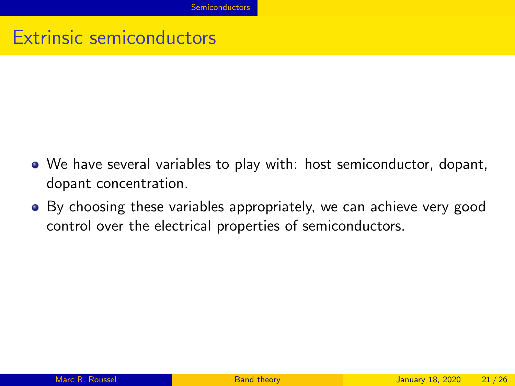- We have several variables to play with: host semiconductor, dopant, dopant concentration.
- By choosing these variables appropriately, we can achieve very good control over the electrical properties of semiconductors.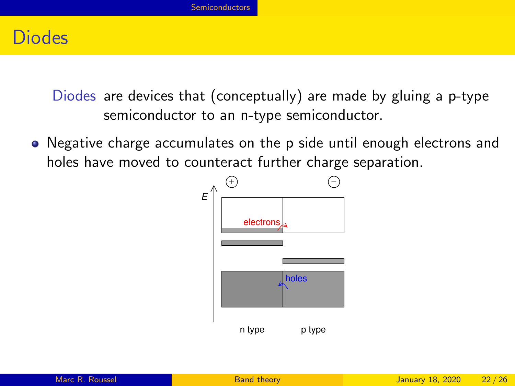#### **Diodes**

Diodes are devices that (conceptually) are made by gluing a p-type semiconductor to an n-type semiconductor.

• Negative charge accumulates on the p side until enough electrons and holes have moved to counteract further charge separation.



| Marc R. Roussel |  |  |
|-----------------|--|--|
|                 |  |  |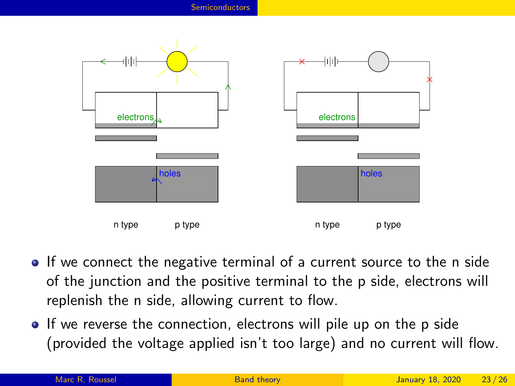

- If we connect the negative terminal of a current source to the n side of the junction and the positive terminal to the p side, electrons will replenish the n side, allowing current to flow.
- If we reverse the connection, electrons will pile up on the p side (provided the voltage applied isn't too large) and no current will flow.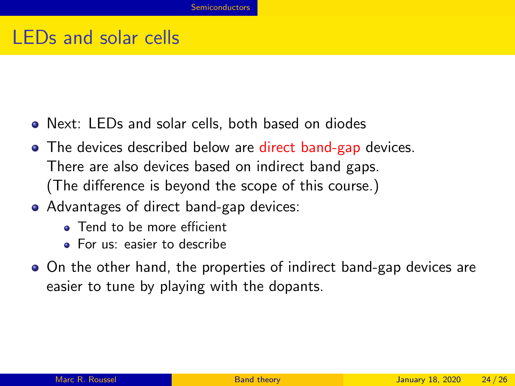#### LEDs and solar cells

- Next: LEDs and solar cells, both based on diodes
- The devices described below are direct band-gap devices. There are also devices based on indirect band gaps. (The difference is beyond the scope of this course.)
- Advantages of direct band-gap devices:
	- **a** Tend to be more efficient
	- For us: easier to describe
- On the other hand, the properties of indirect band-gap devices are easier to tune by playing with the dopants.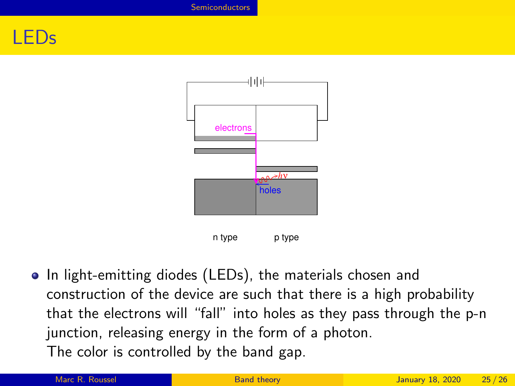#### LEDs



• In light-emitting diodes (LEDs), the materials chosen and construction of the device are such that there is a high probability that the electrons will "fall" into holes as they pass through the p-n junction, releasing energy in the form of a photon. The color is controlled by the band gap.